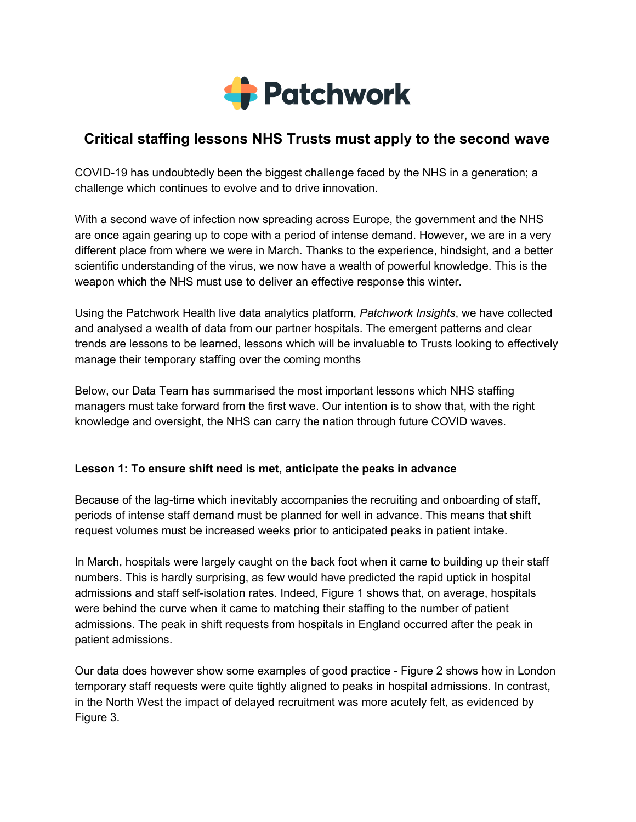

# **Critical staffing lessons NHS Trusts must apply to the second wave**

COVID-19 has undoubtedly been the biggest challenge faced by the NHS in a generation; a challenge which continues to evolve and to drive innovation.

With a second wave of infection now spreading across Europe, the government and the NHS are once again gearing up to cope with a period of intense demand. However, we are in a very different place from where we were in March. Thanks to the experience, hindsight, and a better scientific understanding of the virus, we now have a wealth of powerful knowledge. This is the weapon which the NHS must use to deliver an effective response this winter.

Using the Patchwork Health live data analytics platform, *Patchwork Insights*, we have collected and analysed a wealth of data from our partner hospitals. The emergent patterns and clear trends are lessons to be learned, lessons which will be invaluable to Trusts looking to effectively manage their temporary staffing over the coming months

Below, our Data Team has summarised the most important lessons which NHS staffing managers must take forward from the first wave. Our intention is to show that, with the right knowledge and oversight, the NHS can carry the nation through future COVID waves.

# **Lesson 1: To ensure shift need is met, anticipate the peaks in advance**

Because of the lag-time which inevitably accompanies the recruiting and onboarding of staff, periods of intense staff demand must be planned for well in advance. This means that shift request volumes must be increased weeks prior to anticipated peaks in patient intake.

In March, hospitals were largely caught on the back foot when it came to building up their staff numbers. This is hardly surprising, as few would have predicted the rapid uptick in hospital admissions and staff self-isolation rates. Indeed, Figure 1 shows that, on average, hospitals were behind the curve when it came to matching their staffing to the number of patient admissions. The peak in shift requests from hospitals in England occurred after the peak in patient admissions.

Our data does however show some examples of good practice - Figure 2 shows how in London temporary staff requests were quite tightly aligned to peaks in hospital admissions. In contrast, in the North West the impact of delayed recruitment was more acutely felt, as evidenced by Figure 3.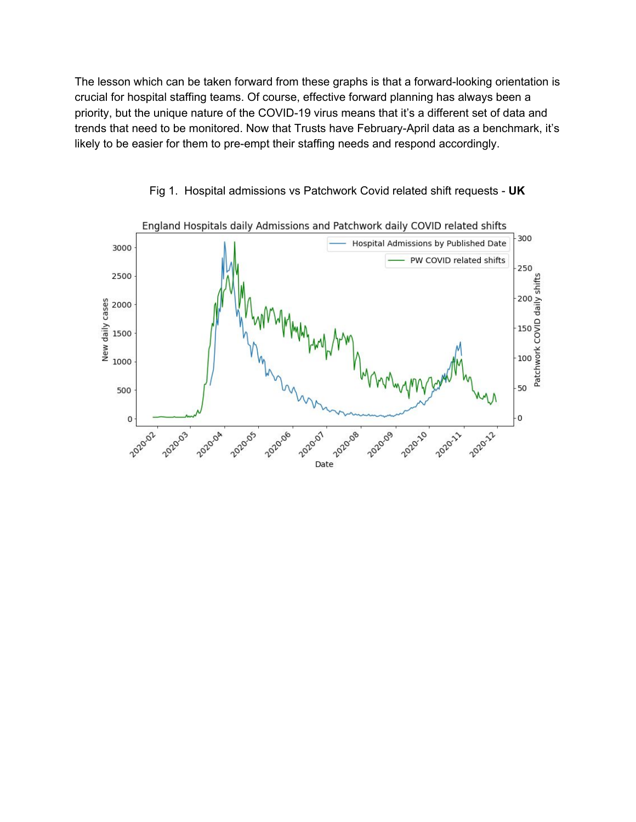The lesson which can be taken forward from these graphs is that a forward-looking orientation is crucial for hospital staffing teams. Of course, effective forward planning has always been a priority, but the unique nature of the COVID-19 virus means that it's a different set of data and trends that need to be monitored. Now that Trusts have February-April data as a benchmark, it's likely to be easier for them to pre-empt their staffing needs and respond accordingly.



Fig 1. Hospital admissions vs Patchwork Covid related shift requests - **UK**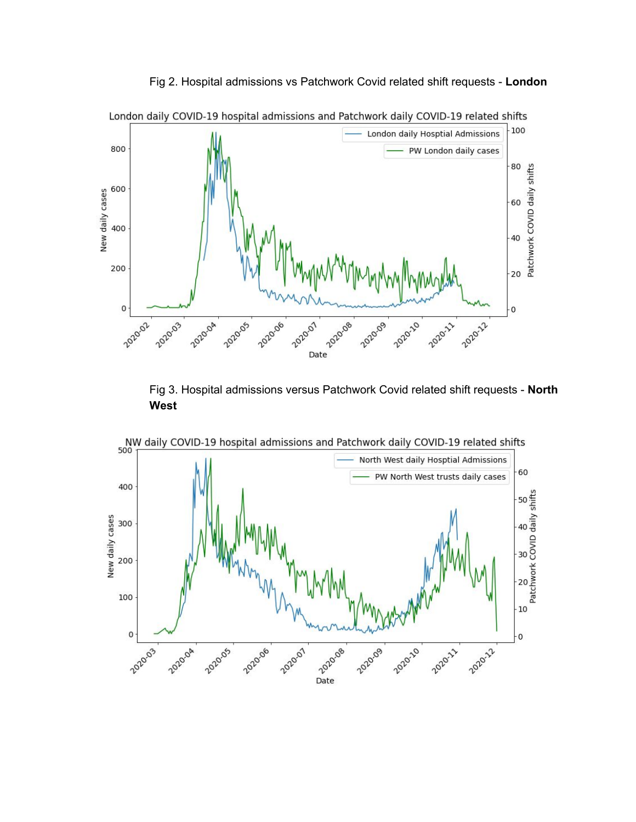Fig 2. Hospital admissions vs Patchwork Covid related shift requests - **London**



Fig 3. Hospital admissions versus Patchwork Covid related shift requests - **North West**



London daily COVID-19 hospital admissions and Patchwork daily COVID-19 related shifts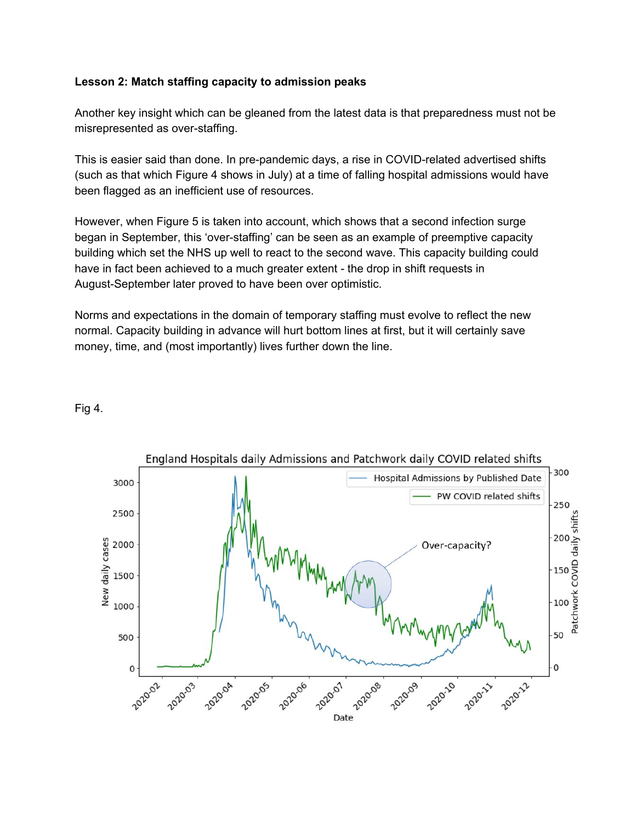# **Lesson 2: Match staffing capacity to admission peaks**

Another key insight which can be gleaned from the latest data is that preparedness must not be misrepresented as over-staffing.

This is easier said than done. In pre-pandemic days, a rise in COVID-related advertised shifts (such as that which Figure 4 shows in July) at a time of falling hospital admissions would have been flagged as an inefficient use of resources.

However, when Figure 5 is taken into account, which shows that a second infection surge began in September, this 'over-staffing' can be seen as an example of preemptive capacity building which set the NHS up well to react to the second wave. This capacity building could have in fact been achieved to a much greater extent - the drop in shift requests in August-September later proved to have been over optimistic.

Norms and expectations in the domain of temporary staffing must evolve to reflect the new normal. Capacity building in advance will hurt bottom lines at first, but it will certainly save money, time, and (most importantly) lives further down the line.



#### Fig 4.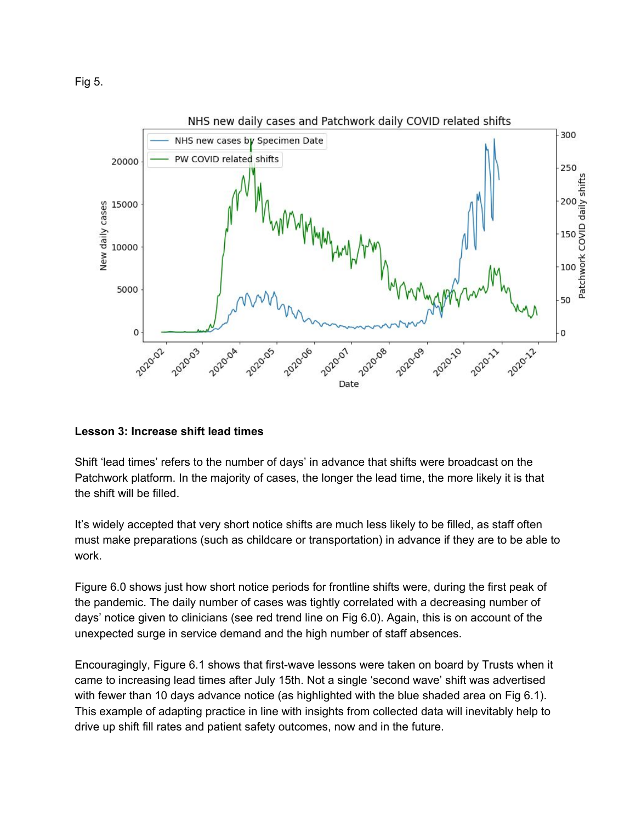Fig 5.



# **Lesson 3: Increase shift lead times**

Shift 'lead times' refers to the number of days' in advance that shifts were broadcast on the Patchwork platform. In the majority of cases, the longer the lead time, the more likely it is that the shift will be filled.

It's widely accepted that very short notice shifts are much less likely to be filled, as staff often must make preparations (such as childcare or transportation) in advance if they are to be able to work.

Figure 6.0 shows just how short notice periods for frontline shifts were, during the first peak of the pandemic. The daily number of cases was tightly correlated with a decreasing number of days' notice given to clinicians (see red trend line on Fig 6.0). Again, this is on account of the unexpected surge in service demand and the high number of staff absences.

Encouragingly, Figure 6.1 shows that first-wave lessons were taken on board by Trusts when it came to increasing lead times after July 15th. Not a single 'second wave' shift was advertised with fewer than 10 days advance notice (as highlighted with the blue shaded area on Fig 6.1). This example of adapting practice in line with insights from collected data will inevitably help to drive up shift fill rates and patient safety outcomes, now and in the future.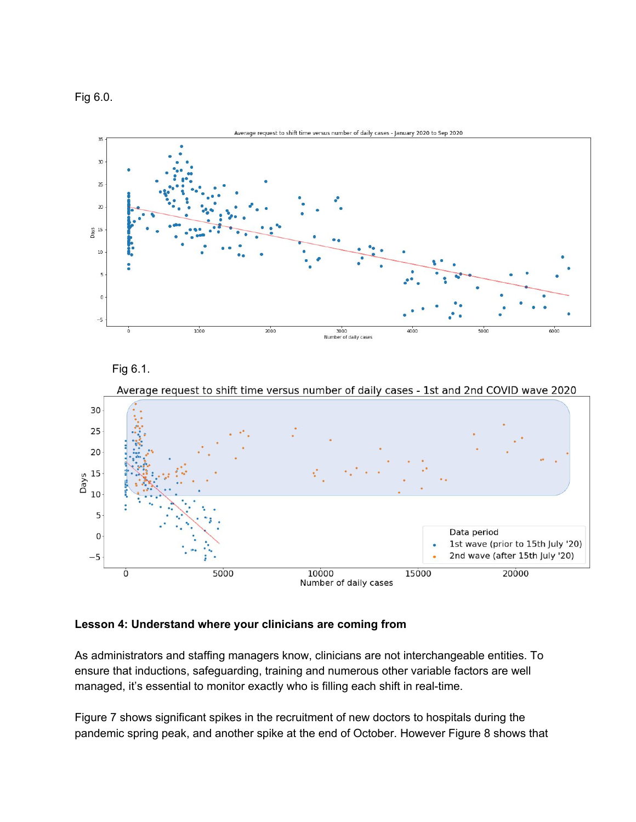Fig 6.0.



Fig 6.1.



Average request to shift time versus number of daily cases - 1st and 2nd COVID wave 2020

# **Lesson 4: Understand where your clinicians are coming from**

As administrators and staffing managers know, clinicians are not interchangeable entities. To ensure that inductions, safeguarding, training and numerous other variable factors are well managed, it's essential to monitor exactly who is filling each shift in real-time.

Figure 7 shows significant spikes in the recruitment of new doctors to hospitals during the pandemic spring peak, and another spike at the end of October. However Figure 8 shows that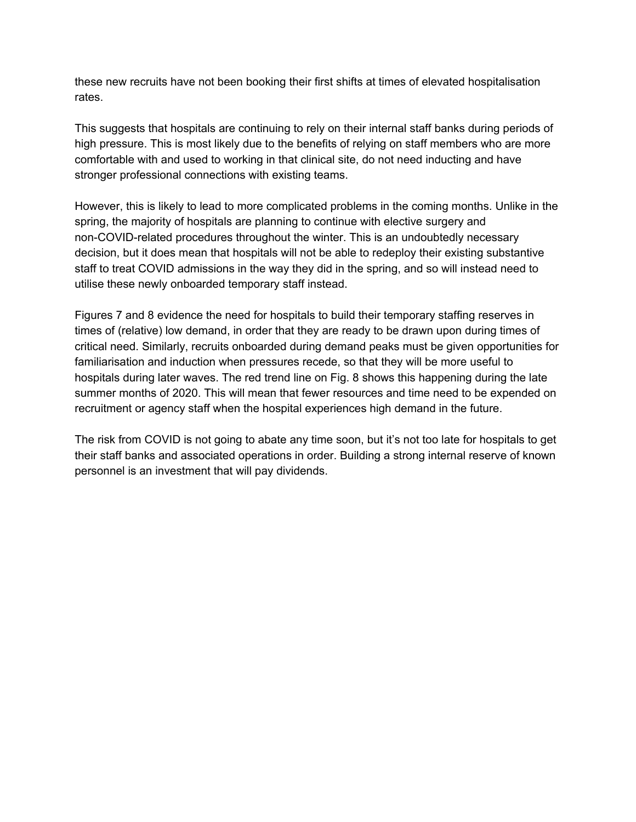these new recruits have not been booking their first shifts at times of elevated hospitalisation rates.

This suggests that hospitals are continuing to rely on their internal staff banks during periods of high pressure. This is most likely due to the benefits of relying on staff members who are more comfortable with and used to working in that clinical site, do not need inducting and have stronger professional connections with existing teams.

However, this is likely to lead to more complicated problems in the coming months. Unlike in the spring, the majority of hospitals are planning to continue with elective surgery and non-COVID-related procedures throughout the winter. This is an undoubtedly necessary decision, but it does mean that hospitals will not be able to redeploy their existing substantive staff to treat COVID admissions in the way they did in the spring, and so will instead need to utilise these newly onboarded temporary staff instead.

Figures 7 and 8 evidence the need for hospitals to build their temporary staffing reserves in times of (relative) low demand, in order that they are ready to be drawn upon during times of critical need. Similarly, recruits onboarded during demand peaks must be given opportunities for familiarisation and induction when pressures recede, so that they will be more useful to hospitals during later waves. The red trend line on Fig. 8 shows this happening during the late summer months of 2020. This will mean that fewer resources and time need to be expended on recruitment or agency staff when the hospital experiences high demand in the future.

The risk from COVID is not going to abate any time soon, but it's not too late for hospitals to get their staff banks and associated operations in order. Building a strong internal reserve of known personnel is an investment that will pay dividends.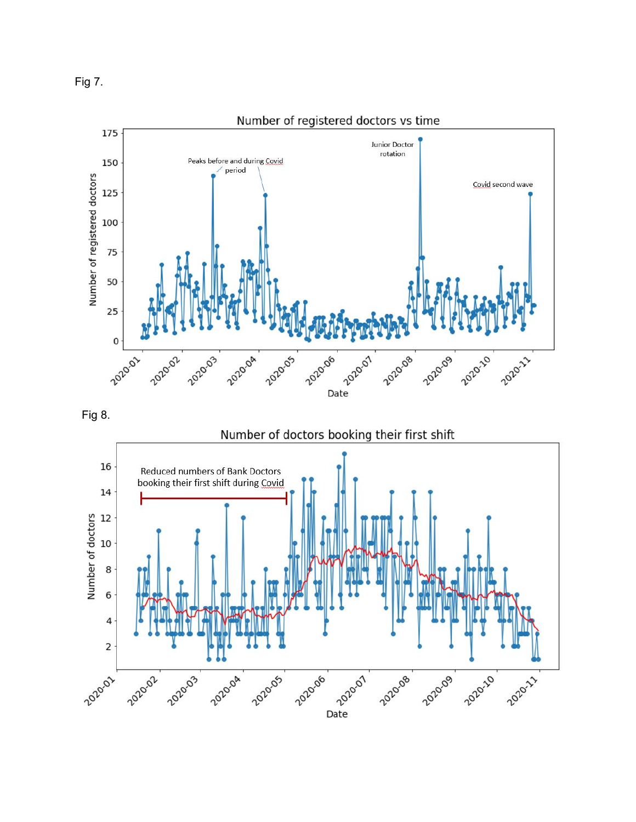



Fig 8.